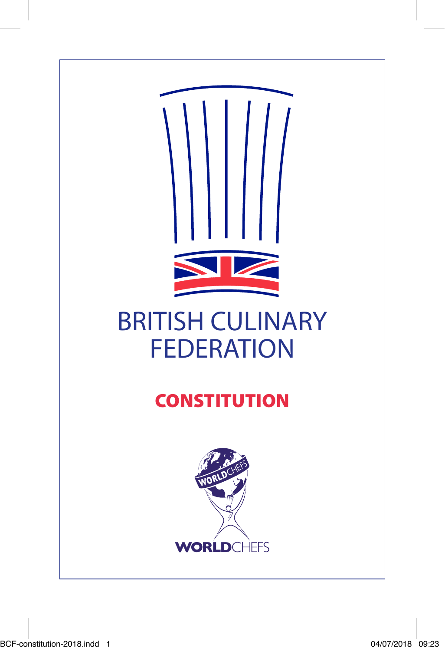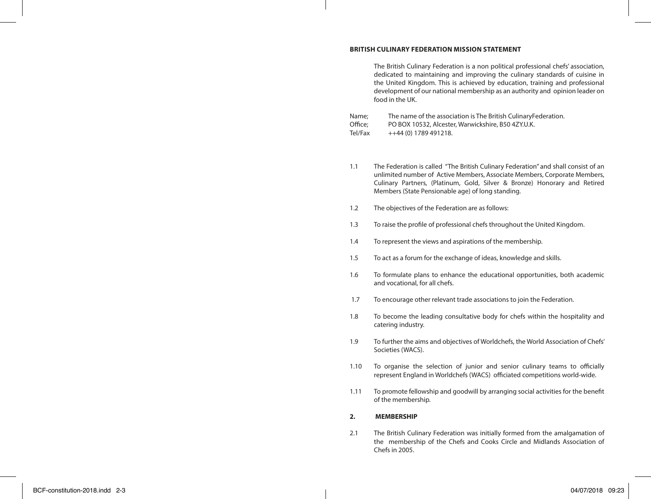#### **BRITISH CULINARY FEDERATION MISSION STATEMENT**

The British Culinary Federation is a non political professional chefs' association, dedicated to maintaining and improving the culinary standards of cuisine in the United Kingdom. This is achieved by education, training and professional development of our national membership as an authority and opinion leader on food in the UK.

| Name:   | The name of the association is The British CulinaryFederation. |
|---------|----------------------------------------------------------------|
| Office: | PO BOX 10532, Alcester, Warwickshire, B50 4ZY.U.K.             |
| Tel/Fax | $++44(0)$ 1789 491218.                                         |

- 1.1 The Federation is called "The British Culinary Federation" and shall consist of an unlimited number of Active Members, Associate Members, Corporate Members, Culinary Partners, (Platinum, Gold, Silver & Bronze) Honorary and Retired Members (State Pensionable age) of long standing.
- 1.2 The objectives of the Federation are as follows:
- 1.3 To raise the profile of professional chefs throughout the United Kingdom.
- 1.4 To represent the views and aspirations of the membership.
- 1.5 To act as a forum for the exchange of ideas, knowledge and skills.
- 1.6 To formulate plans to enhance the educational opportunities, both academic and vocational, for all chefs.
- 1.7 To encourage other relevant trade associations to join the Federation.
- 1.8 To become the leading consultative body for chefs within the hospitality and catering industry.
- 1.9 To further the aims and objectives of Worldchefs, the World Association of Chefs' Societies (WACS).
- 1.10 To organise the selection of junior and senior culinary teams to officially represent England in Worldchefs (WACS) officiated competitions world-wide.
- 1.11 To promote fellowship and goodwill by arranging social activities for the benefit of the membership.

#### **2. MEMBERSHIP**

2.1 The British Culinary Federation was initially formed from the amalgamation of the membership of the Chefs and Cooks Circle and Midlands Association of Chefs in 2005.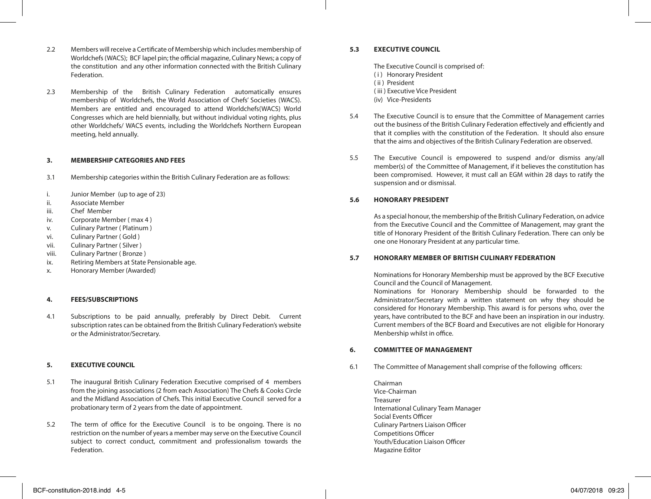- 2.2 Members will receive a Certificate of Membership which includes membership of Worldchefs (WACS); BCF lapel pin; the official magazine, Culinary News; a copy of the constitution and any other information connected with the British Culinary Federation.
- 2.3 Membership of the British Culinary Federation automatically ensures membership of Worldchefs, the World Association of Chefs' Societies (WACS). Members are entitled and encouraged to attend Worldchefs(WACS) World Congresses which are held biennially, but without individual voting rights, plus other Worldchefs/ WACS events, including the Worldchefs Northern European meeting, held annually.

### **3. MEMBERSHIP CATEGORIES AND FEES**

- 3.1 Membership categories within the British Culinary Federation are as follows:
- i. Junior Member (up to age of 23)
- ii. Associate Member
- iii. Chef Member
- iv. Corporate Member ( max 4 )
- v. Culinary Partner ( Platinum )
- vi. Culinary Partner ( Gold )
- vii. Culinary Partner ( Silver )
- viii. Culinary Partner (Bronze)<br>ix. Retiring Members at State
- Retiring Members at State Pensionable age.
- x. Honorary Member (Awarded)

### **4. FEES/SUBSCRIPTIONS**

4.1 Subscriptions to be paid annually, preferably by Direct Debit. Current subscription rates can be obtained from the British Culinary Federation's website or the Administrator/Secretary.

### **5. EXECUTIVE COUNCIL**

- 5.1 The inaugural British Culinary Federation Executive comprised of 4 members from the joining associations (2 from each Association) The Chefs & Cooks Circle and the Midland Association of Chefs. This initial Executive Council served for a probationary term of 2 years from the date of appointment.
- 5.2 The term of office for the Executive Council is to be ongoing. There is no restriction on the number of years a member may serve on the Executive Council subject to correct conduct, commitment and professionalism towards the Federation.

### **5.3 EXECUTIVE COUNCIL**

The Executive Council is comprised of:

- (i) Honorary President
- ( ii ) President
- ( iii ) Executive Vice President
- (iv) Vice-Presidents
- 5.4 The Executive Council is to ensure that the Committee of Management carries out the business of the British Culinary Federation effectively and efficiently and that it complies with the constitution of the Federation. It should also ensure that the aims and objectives of the British Culinary Federation are observed.
- 5.5 The Executive Council is empowered to suspend and/or dismiss any/all member(s) of the Committee of Management, if it believes the constitution has been compromised. However, it must call an EGM within 28 days to ratify the suspension and or dismissal.

### **5.6 HONORARY PRESIDENT**

As a special honour, the membership of the British Culinary Federation, on advice from the Executive Council and the Committee of Management, may grant the title of Honorary President of the British Culinary Federation. There can only be one one Honorary President at any particular time.

#### **5.7 HONORARY MEMBER OF BRITISH CULINARY FEDERATION**

Nominations for Honorary Membership must be approved by the BCF Executive Council and the Council of Management.

Nominations for Honorary Membership should be forwarded to the Administrator/Secretary with a written statement on why they should be considered for Honorary Membership. This award is for persons who, over the years, have contributed to the BCF and have been an inspiration in our industry. Current members of the BCF Board and Executives are not eligible for Honorary Menbership whilst in office.

#### **6. COMMITTEE OF MANAGEMENT**

6.1 The Committee of Management shall comprise of the following officers:

Chairman Vice-Chairman Treasurer International Culinary Team Manager Social Events Officer Culinary Partners Liaison Officer Competitions Officer Youth/Education Liaison Officer Magazine Editor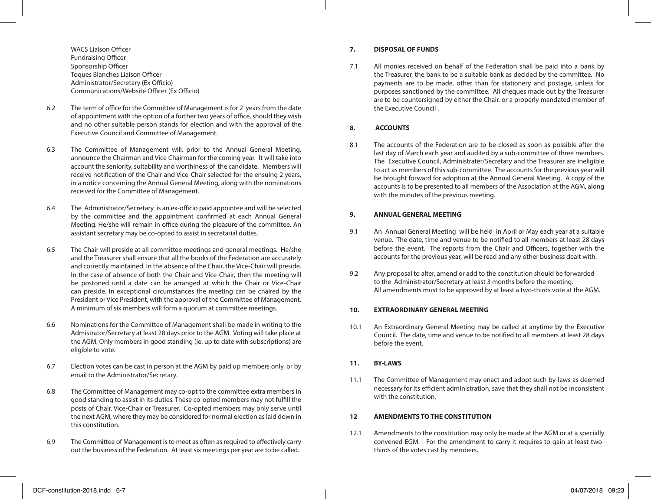WACS Liaison Officer Fundraising Officer Sponsorship Officer Toques Blanches Liaison Officer Administrator/Secretary (Ex Officio) Communications/Website Officer (Ex Officio)

- 6.2 The term of office for the Committee of Management is for 2 years from the date of appointment with the option of a further two years of office, should they wish and no other suitable person stands for election and with the approval of the Executive Council and Committee of Management.
- 6.3 The Committee of Management will, prior to the Annual General Meeting, announce the Chairman and Vice Chairman for the coming year. It will take into account the seniority, suitability and worthiness of the candidate. Members will receive notification of the Chair and Vice-Chair selected for the ensuing 2 years, in a notice concerning the Annual General Meeting, along with the nominations received for the Committee of Management.
- 6.4 The Administrator/Secretary is an ex-officio paid appointee and will be selected by the committee and the appointment confirmed at each Annual General Meeting. He/she will remain in office during the pleasure of the committee. An assistant secretary may be co-opted to assist in secretarial duties.
- 6.5 The Chair will preside at all committee meetings and general meetings. He/she and the Treasurer shall ensure that all the books of the Federation are accurately and correctly maintained. In the absence of the Chair, the Vice-Chair will preside. In the case of absence of both the Chair and Vice-Chair, then the meeting will be postoned until a date can be arranged at which the Chair or Vice-Chair can preside. In exceptional circumstances the meeting can be chaired by the President or Vice President, with the approval of the Committee of Management. A minimum of six members will form a quorum at committee meetings.
- 6.6 Nominations for the Committee of Management shall be made in writing to the Admistrator/Secretary at least 28 days prior to the AGM. Voting will take place at the AGM. Only members in good standing (ie. up to date with subscriptions) are eligible to vote.
- 6.7 Election votes can be cast in person at the AGM by paid up members only, or by email to the Administrator/Secretary.
- 6.8 The Committee of Management may co-opt to the committee extra members in good standing to assist in its duties. These co-opted members may not fulfill the posts of Chair, Vice-Chair or Treasurer. Co-opted members may only serve until the next AGM, where they may be considered for normal election as laid down in this constitution.
- 6.9 The Committee of Management is to meet as often as required to effectively carry out the business of the Federation. At least six meetings per year are to be called.

# **7. DISPOSAL OF FUNDS**

7.1 All monies received on behalf of the Federation shall be paid into a bank by the Treasurer, the bank to be a suitable bank as decided by the committee. No payments are to be made, other than for stationery and postage, unless for purposes sanctioned by the committee. All cheques made out by the Treasurer are to be countersigned by either the Chair, or a properly mandated member of the Executive Council .

# **8. ACCOUNTS**

8.1 The accounts of the Federation are to be closed as soon as possible after the last day of March each year and audited by a sub-committee of three members. The Executive Council, Administrater/Secretary and the Treasurer are ineligible to act as members of this sub-committee. The accounts for the previous year will be brought forward for adoption at the Annual General Meeting. A copy of the accounts is to be presented to all members of the Association at the AGM, along with the minutes of the previous meeting.

### **9. ANNUAL GENERAL MEETING**

- 9.1 An Annual General Meeting will be held in April or May each year at a suitable venue. The date, time and venue to be notified to all members at least 28 days before the event. The reports from the Chair and Officers, together with the accounts for the previous year, will be read and any other business dealt with.
- 9.2 Any proposal to alter, amend or add to the constitution should be forwarded to the Administrator/Secretary at least 3 months before the meeting. All amendments must to be approved by at least a two-thirds vote at the AGM.

## **10. EXTRAORDINARY GENERAL MEETING**

10.1 An Extraordinary General Meeting may be called at anytime by the Executive Council. The date, time and venue to be notified to all members at least 28 days before the event.

## **11. BY-LAWS**

11.1 The Committee of Management may enact and adopt such by-laws as deemed necessary for its efficient administration, save that they shall not be inconsistent with the constitution.

## **12 AMENDMENTS TO THE CONSTITUTION**

12.1 Amendments to the constitution may only be made at the AGM or at a specially convened EGM. For the amendment to carry it requires to gain at least twothirds of the votes cast by members.